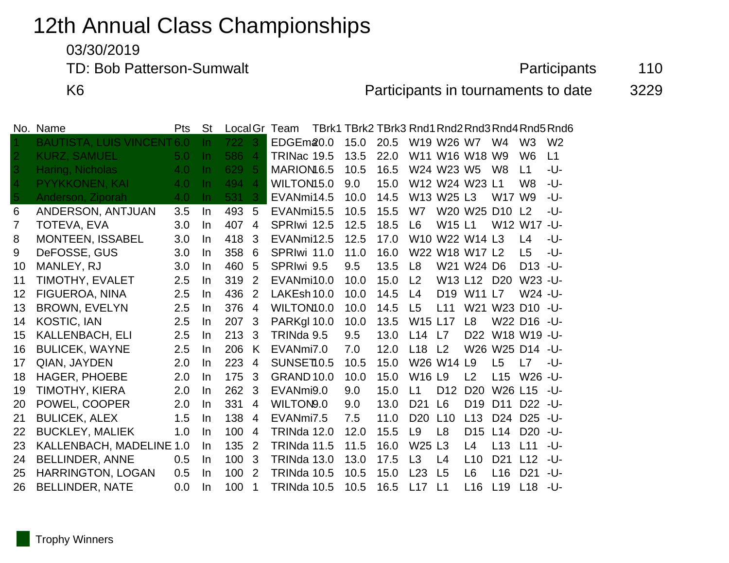## 12th Annual Class Championships

03/30/2019

TD: Bob Patterson-Sumwalt **Participants** 110

K6 **Participants in tournaments to date** 3229

|                | No. Name                      | Pts | <b>St</b> | Local Gr |                | Team                   | TBrk1 TBrk2 TBrk3 Rnd1 Rnd2 Rnd3 Rnd4 Rnd5 Rnd6 |      |                                |                 |                                                                |                                 |                     |                |
|----------------|-------------------------------|-----|-----------|----------|----------------|------------------------|-------------------------------------------------|------|--------------------------------|-----------------|----------------------------------------------------------------|---------------------------------|---------------------|----------------|
|                | <b>BAUTISTA, LUIS VINCENT</b> | 6.0 | In.       | 722      | 3              | EDGEm20.0              | 15.0                                            | 20.5 |                                | W19 W26 W7      |                                                                | W4                              | W <sub>3</sub>      | W <sub>2</sub> |
| $\overline{2}$ | <b>KURZ, SAMUEL</b>           | 5.0 | $\ln$     | 586      | $\overline{A}$ | TRINac 19.5            | 13.5                                            | 22.0 |                                |                 | W11 W16 W18 W9                                                 |                                 | W <sub>6</sub>      | L1             |
| 3              | Haring, Nicholas              | 4.0 | <u>In</u> | 629      | -5             | MARION <sub>16.5</sub> | 10.5                                            | 16.5 |                                | W24 W23 W5      |                                                                | W <sub>8</sub>                  | L1                  | -U-            |
| 4              | <b>PYYKKONEN, KAI</b>         | 4.0 | In.       | 494      | $\overline{4}$ | WILTON15.0             | 9.0                                             | 15.0 |                                |                 | W12 W24 W23 L1                                                 |                                 | W <sub>8</sub>      | -U-            |
| 5              | Anderson, Ziporah             | 4.0 | $\ln$     | 531      | 3              | EVANmi14.5             | 10.0                                            | 14.5 |                                | W13 W25 L3      |                                                                | W17 W9                          |                     | -U-            |
| 6              | ANDERSON, ANTJUAN             | 3.5 | In        | 493      | 5              | EVANmi15.5             | 10.5                                            | 15.5 | W7                             |                 | W20 W25 D10 L2                                                 |                                 |                     | -U-            |
| $\overline{7}$ | <b>TOTEVA, EVA</b>            | 3.0 | In        | 407      | 4              | SPRIwi 12.5            | 12.5                                            | 18.5 | L <sub>6</sub>                 | W15 L1          |                                                                |                                 | W12 W17 -U-         |                |
| 8              | <b>MONTEEN, ISSABEL</b>       | 3.0 | In        | 418      | 3              | EVANmi12.5             | 12.5                                            | 17.0 |                                |                 | W <sub>10</sub> W <sub>22</sub> W <sub>14</sub> L <sub>3</sub> |                                 | L4                  | -U-            |
| 9              | DeFOSSE, GUS                  | 3.0 | In.       | 358      | 6              | SPRIwi 11.0            | 11.0                                            | 16.0 |                                |                 | W22 W18 W17 L2                                                 |                                 | L5                  | -U-            |
| 10             | MANLEY, RJ                    | 3.0 | In.       | 460      | 5              | SPRIwi 9.5             | 9.5                                             | 13.5 | L8                             |                 | W21 W24 D6                                                     |                                 | $D13 - U$           |                |
| 11             | TIMOTHY, EVALET               | 2.5 | In        | 319      | 2              | EVANmi10.0             | 10.0                                            | 15.0 | L <sub>2</sub>                 |                 | W13 L12 D20                                                    |                                 | W23 -U-             |                |
| 12             | FIGUEROA, NINA                | 2.5 | In.       | 436      | 2              | LAKEsh 10.0            | 10.0                                            | 14.5 | L4                             | D <sub>19</sub> | W11 L7                                                         |                                 | W24 -U-             |                |
| 13             | <b>BROWN, EVELYN</b>          | 2.5 | In        | 376      | $\overline{4}$ | WILTON10.0             | 10.0                                            | 14.5 | L <sub>5</sub>                 | L11             |                                                                | W21 W23 D10 -U-                 |                     |                |
| 14             | <b>KOSTIC, IAN</b>            | 2.5 | In        | 207      | 3              | PARKgl 10.0            | 10.0                                            | 13.5 | W15 L17                        |                 | L <sub>8</sub>                                                 |                                 | W22 D16 - U-        |                |
| 15             | <b>KALLENBACH, ELI</b>        | 2.5 | In.       | 213      | 3              | TRINda 9.5             | 9.5                                             | 13.0 | L14                            | L7              | D <sub>22</sub>                                                |                                 | W18 W19 - U-        |                |
| 16             | <b>BULICEK, WAYNE</b>         | 2.5 | In.       | 206      | K              | EVANmi7.0              | 7.0                                             | 12.0 | L18                            | L <sub>2</sub>  |                                                                | W26 W25 D14 - U-                |                     |                |
| 17             | QIAN, JAYDEN                  | 2.0 | In.       | 223      | $\overline{4}$ | SUNSET10.5             | 10.5                                            | 15.0 |                                | W26 W14 L9      |                                                                | L5                              | L7                  | -U-            |
| 18             | <b>HAGER, PHOEBE</b>          | 2.0 | In.       | 175      | 3              | <b>GRAND 10.0</b>      | 10.0                                            | 15.0 | W <sub>16</sub> L <sub>9</sub> |                 | L <sub>2</sub>                                                 | L15                             | W <sub>26</sub> -U- |                |
| 19             | <b>TIMOTHY, KIERA</b>         | 2.0 | In        | 262      | 3              | EVANmi9.0              | 9.0                                             | 15.0 | L1                             | D <sub>12</sub> | D <sub>20</sub>                                                | W <sub>26</sub> L <sub>15</sub> |                     | -U-            |
| 20             | POWEL, COOPER                 | 2.0 | In        | 331      | $\overline{4}$ | WILTON9.0              | 9.0                                             | 13.0 | D <sub>21</sub>                | L6              | D <sub>19</sub>                                                | D <sub>11</sub>                 | D22 - U-            |                |
| 21             | <b>BULICEK, ALEX</b>          | 1.5 | In        | 138      | $\overline{4}$ | EVANmi7.5              | 7.5                                             | 11.0 | D <sub>20</sub>                | L10             | L13                                                            | D <sub>24</sub>                 | D <sub>25</sub> -U- |                |
| 22             | <b>BUCKLEY, MALIEK</b>        | 1.0 | In.       | 100      | 4              | TRINda 12.0            | 12.0                                            | 15.5 | L <sub>9</sub>                 | L <sub>8</sub>  | D <sub>15</sub>                                                | L14                             | D <sub>20</sub>     | -U-            |
| 23             | KALLENBACH, MADELINE 1.0      |     | In.       | 135      | 2              | TRINda 11.5            | 11.5                                            | 16.0 | W <sub>25</sub>                | L3              | L <sub>4</sub>                                                 | L13                             | L11                 | -U-            |
| 24             | BELLINDER, ANNE               | 0.5 | In        | 100      | 3              | <b>TRINda 13.0</b>     | 13.0                                            | 17.5 | L3                             | L4              | L10                                                            | D <sub>21</sub>                 | L12                 | -U-            |
| 25             | HARRINGTON, LOGAN             | 0.5 | In.       | 100      | 2              | TRINda 10.5            | 10.5                                            | 15.0 | L23                            | L5              | L <sub>6</sub>                                                 | L16                             | D <sub>21</sub>     | -U-            |
| 26             | <b>BELLINDER, NATE</b>        | 0.0 | In        | 100      | 1              | <b>TRINda 10.5</b>     | 10.5                                            | 16.5 | L17                            | L1              | L16                                                            | L19                             | L18                 | -U-            |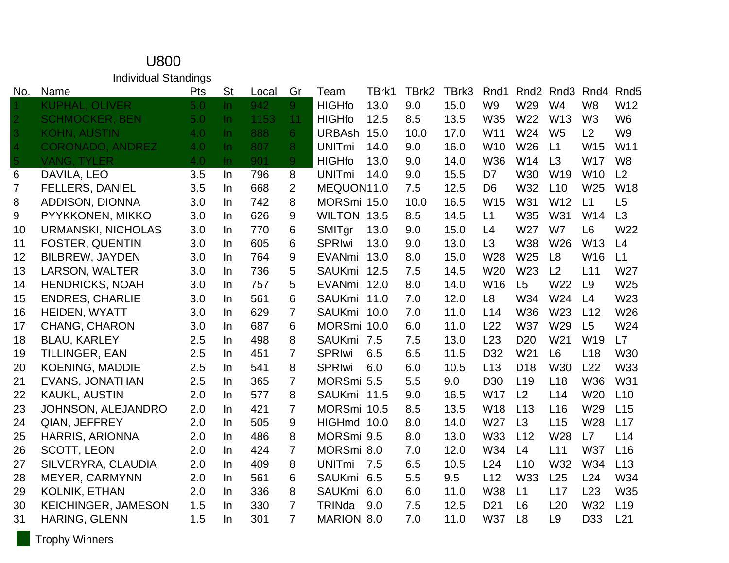|                | <b>Individual Standings</b> |     |           |       |                |                   |       |       |       |                 |                  |                  |                 |                  |
|----------------|-----------------------------|-----|-----------|-------|----------------|-------------------|-------|-------|-------|-----------------|------------------|------------------|-----------------|------------------|
| No.            | Name                        | Pts | <b>St</b> | Local | Gr             | Team              | TBrk1 | TBrk2 | TBrk3 | Rnd1            | Rnd <sub>2</sub> | Rnd <sub>3</sub> | Rnd4            | Rnd <sub>5</sub> |
|                | <b>KUPHAL, OLIVER</b>       | 5.0 | $\ln$     | 942   | 9 <sup>°</sup> | <b>HIGHfo</b>     | 13.0  | 9.0   | 15.0  | W <sub>9</sub>  | W29              | W <sub>4</sub>   | W <sub>8</sub>  | W12              |
| $\overline{2}$ | <b>SCHMOCKER, BEN</b>       | 5.0 | $\ln$     | 1153  | 11             | <b>HIGHfo</b>     | 12.5  | 8.5   | 13.5  | W35             | W22              | W <sub>13</sub>  | W <sub>3</sub>  | W <sub>6</sub>   |
| 3              | <b>KOHN, AUSTIN</b>         | 4.0 | $\ln$     | 888   | 6 <sup>1</sup> | <b>URBAsh</b>     | 15.0  | 10.0  | 17.0  | W11             | W24              | W <sub>5</sub>   | L2              | W <sub>9</sub>   |
| 4              | <b>CORONADO, ANDREZ</b>     | 4.0 | $\ln$     | 807   | 8              | <b>UNITmi</b>     | 14.0  | 9.0   | 16.0  | W <sub>10</sub> | W26              | L1               | W15             | W11              |
| <b>Ay</b>      | <b>VANG, TYLER</b>          | 4.0 | $\ln$     | 901   | 9 <sup>°</sup> | <b>HIGHfo</b>     | 13.0  | 9.0   | 14.0  | W36             | W14              | L3               | <b>W17</b>      | W <sub>8</sub>   |
| 6              | DAVILA, LEO                 | 3.5 | In        | 796   | 8              | <b>UNITmi</b>     | 14.0  | 9.0   | 15.5  | D7              | <b>W30</b>       | W19              | W <sub>10</sub> | L2               |
| $\overline{7}$ | <b>FELLERS, DANIEL</b>      | 3.5 | In        | 668   | $\overline{2}$ | MEQUON11.0        |       | 7.5   | 12.5  | D <sub>6</sub>  | W32              | L10              | W25             | <b>W18</b>       |
| 8              | ADDISON, DIONNA             | 3.0 | $\ln$     | 742   | 8              | MORSmi 15.0       |       | 10.0  | 16.5  | W15             | W31              | W <sub>12</sub>  | L1              | L5               |
| 9              | PYYKKONEN, MIKKO            | 3.0 | In.       | 626   | 9              | WILTON 13.5       |       | 8.5   | 14.5  | L1              | W35              | W31              | W14             | L3               |
| 10             | <b>URMANSKI, NICHOLAS</b>   | 3.0 | $\ln$     | 770   | 6              | SMITgr            | 13.0  | 9.0   | 15.0  | L4              | W27              | W7               | L <sub>6</sub>  | W22              |
| 11             | <b>FOSTER, QUENTIN</b>      | 3.0 | In        | 605   | 6              | <b>SPRIwi</b>     | 13.0  | 9.0   | 13.0  | L <sub>3</sub>  | W38              | W26              | W13             | L4               |
| 12             | <b>BILBREW, JAYDEN</b>      | 3.0 | In        | 764   | 9              | <b>EVANmi</b>     | 13.0  | 8.0   | 15.0  | W28             | W25              | L <sub>8</sub>   | W16             | L1               |
| 13             | LARSON, WALTER              | 3.0 | In        | 736   | 5              | <b>SAUKmi</b>     | 12.5  | 7.5   | 14.5  | W20             | W23              | L2               | L11             | W27              |
| 14             | <b>HENDRICKS, NOAH</b>      | 3.0 | In.       | 757   | 5              | <b>EVANmi</b>     | 12.0  | 8.0   | 14.0  | W16             | L5               | W22              | L <sub>9</sub>  | W25              |
| 15             | <b>ENDRES, CHARLIE</b>      | 3.0 | In        | 561   | 6              | <b>SAUKmi</b>     | 11.0  | 7.0   | 12.0  | L <sub>8</sub>  | W34              | W24              | L4              | W23              |
| 16             | <b>HEIDEN, WYATT</b>        | 3.0 | In.       | 629   | $\overline{7}$ | <b>SAUKmi</b>     | 10.0  | 7.0   | 11.0  | L14             | <b>W36</b>       | W <sub>23</sub>  | L12             | W26              |
| 17             | <b>CHANG, CHARON</b>        | 3.0 | In        | 687   | 6              | MORSmi 10.0       |       | 6.0   | 11.0  | L22             | <b>W37</b>       | W29              | L <sub>5</sub>  | W24              |
| 18             | <b>BLAU, KARLEY</b>         | 2.5 | In        | 498   | 8              | SAUKmi 7.5        |       | 7.5   | 13.0  | L23             | D <sub>20</sub>  | W21              | W19             | L7               |
| 19             | <b>TILLINGER, EAN</b>       | 2.5 | In        | 451   | $\overline{7}$ | <b>SPRIwi</b>     | 6.5   | 6.5   | 11.5  | D32             | W21              | L <sub>6</sub>   | L18             | <b>W30</b>       |
| 20             | <b>KOENING, MADDIE</b>      | 2.5 | In        | 541   | 8              | <b>SPRIwi</b>     | 6.0   | 6.0   | 10.5  | L13             | D <sub>18</sub>  | W30              | L22             | W33              |
| 21             | <b>EVANS, JONATHAN</b>      | 2.5 | In        | 365   | $\overline{7}$ | MORSmi 5.5        |       | 5.5   | 9.0   | D <sub>30</sub> | L <sub>19</sub>  | L <sub>18</sub>  | W36             | W31              |
| 22             | <b>KAUKL, AUSTIN</b>        | 2.0 | In        | 577   | 8              | SAUKmi 11.5       |       | 9.0   | 16.5  | <b>W17</b>      | L2               | L14              | W20             | L10              |
| 23             | <b>JOHNSON, ALEJANDRO</b>   | 2.0 | In.       | 421   | $\overline{7}$ | MORSmi 10.5       |       | 8.5   | 13.5  | <b>W18</b>      | L13              | L16              | W29             | L15              |
| 24             | <b>QIAN, JEFFREY</b>        | 2.0 | In        | 505   | 9              | HIGHmd 10.0       |       | 8.0   | 14.0  | W27             | L3               | L15              | W28             | L17              |
| 25             | <b>HARRIS, ARIONNA</b>      | 2.0 | In        | 486   | 8              | MORSmi 9.5        |       | 8.0   | 13.0  | <b>W33</b>      | L12              | W28              | L7              | L14              |
| 26             | <b>SCOTT, LEON</b>          | 2.0 | In.       | 424   | $\overline{7}$ | MORSmi 8.0        |       | 7.0   | 12.0  | W34             | L4               | L11              | W37             | L16              |
| 27             | SILVERYRA, CLAUDIA          | 2.0 | In        | 409   | 8              | <b>UNITmi</b>     | 7.5   | 6.5   | 10.5  | L24             | L10              | W32              | W34             | L13              |
| 28             | <b>MEYER, CARMYNN</b>       | 2.0 | In        | 561   | 6              | <b>SAUKmi</b>     | 6.5   | 5.5   | 9.5   | L12             | W33              | L25              | L24             | W34              |
| 29             | <b>KOLNIK, ETHAN</b>        | 2.0 | In        | 336   | 8              | <b>SAUKmi</b>     | 6.0   | 6.0   | 11.0  | W38             | L1               | L17              | L23             | W35              |
| 30             | <b>KEICHINGER, JAMESON</b>  | 1.5 | In        | 330   | $\overline{7}$ | TRINda            | 9.0   | 7.5   | 12.5  | D <sub>21</sub> | L <sub>6</sub>   | L20              | W32             | L <sub>19</sub>  |
| 31             | <b>HARING, GLENN</b>        | 1.5 | In        | 301   | $\overline{7}$ | <b>MARION 8.0</b> |       | 7.0   | 11.0  | <b>W37</b>      | L8               | L <sub>9</sub>   | D33             | L21              |

## U800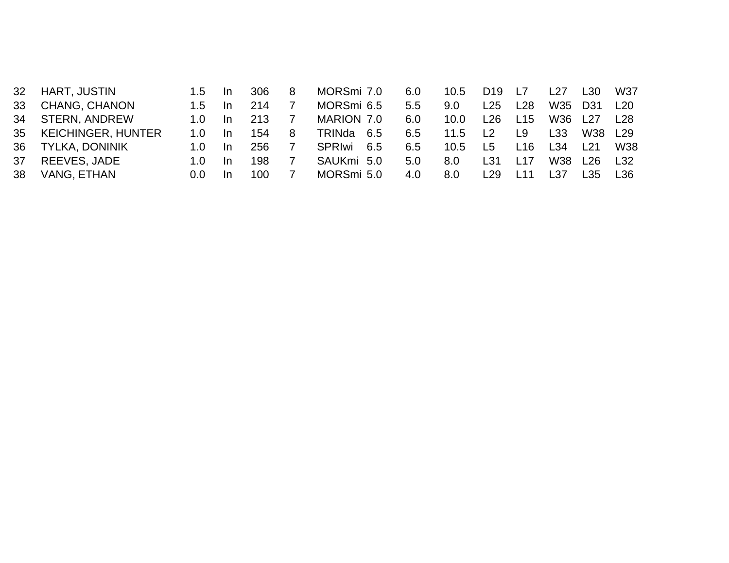|                      | $1.5 -$                                                                        | <u>In</u> | 306  | 8 |        |                                                                                         | 10.5                                   | D <sub>19</sub>    | L7              | L27  |      | W37                              |
|----------------------|--------------------------------------------------------------------------------|-----------|------|---|--------|-----------------------------------------------------------------------------------------|----------------------------------------|--------------------|-----------------|------|------|----------------------------------|
| <b>CHANG, CHANON</b> | 1.5                                                                            | In.       | 214  |   |        |                                                                                         | 9.0                                    | L25                | L28             | W35  |      | L20                              |
|                      | 1.0                                                                            | -In       | 213  |   |        |                                                                                         | 10.0                                   | L26                | L15             | W36  |      | L28                              |
|                      |                                                                                | -In       | 154  | 8 |        |                                                                                         |                                        | L2                 | L9.             | L33  | W38  | L <sub>29</sub>                  |
|                      | 1. $\Omega$                                                                    | In.       | 256. |   | SPRIwi |                                                                                         | 10.5                                   |                    | L <sub>16</sub> | L34  | 121  | W38                              |
| REEVES, JADE         |                                                                                | In.       | 198  |   |        |                                                                                         |                                        | L31                | L17             | W38  |      | L32                              |
| VANG, ETHAN          | 0.0                                                                            | In.       | 100. |   |        | 4.0                                                                                     |                                        |                    | L <sub>11</sub> | l 37 | I 35 | L36                              |
|                      | HART, JUSTIN<br>34 STERN, ANDREW<br>35 KEICHINGER, HUNTER<br>36 TYLKA, DONINIK |           |      |   |        | MORSmi 7.0<br>MORSmi 6.5<br>MARION 7.0<br>TRINda 6.5<br>6.5<br>SAUKmi 5.0<br>MORSmi 5.0 | 6.0<br>5.5<br>6.0<br>6.5<br>6.5<br>5.0 | 11.5<br>8.0<br>8.0 | L5<br>L29       |      |      | L30<br>D31<br>127<br><u> 126</u> |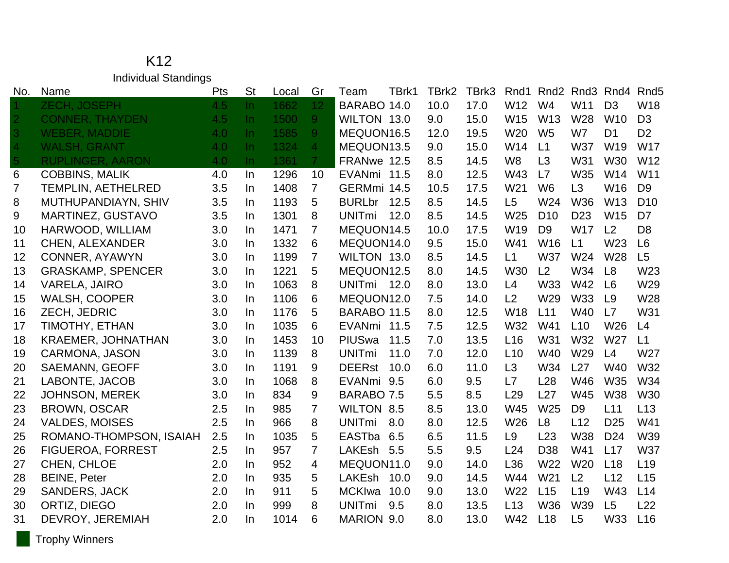K12 Individual Standings

| No.            | Name                      | Pts | <b>St</b> | Local | Gr              | TBrk1<br>Team         | TBrk2 | TBrk3 | Rnd1            | Rnd <sub>2</sub> |                 | Rnd <sub>3</sub> Rnd <sub>4</sub> | Rnd <sub>5</sub> |
|----------------|---------------------------|-----|-----------|-------|-----------------|-----------------------|-------|-------|-----------------|------------------|-----------------|-----------------------------------|------------------|
|                | <b>ZECH, JOSEPH</b>       | 4.5 | In.       | 1662  | 12 <sub>1</sub> | BARABO 14.0           | 10.0  | 17.0  | W12             | W <sub>4</sub>   | W11             | D <sub>3</sub>                    | W18              |
|                | <b>CONNER, THAYDEN</b>    | 4.5 | $\ln$     | 1500  | 9 <sup>°</sup>  | WILTON 13.0           | 9.0   | 15.0  | W15             | W <sub>13</sub>  | W28             | W <sub>10</sub>                   | D <sub>3</sub>   |
|                | <b>WEBER, MADDIE</b>      | 4.0 | $\ln$     | 1585  | 9 <sup>°</sup>  | MEQUON16.5            | 12.0  | 19.5  | W20             | W <sub>5</sub>   | W7              | D <sub>1</sub>                    | D <sub>2</sub>   |
|                | <b>WALSH, GRANT</b>       | 4.0 | $\ln$     | 1324  | 4               | MEQUON13.5            | 9.0   | 15.0  | W14             | L1               | <b>W37</b>      | W19                               | <b>W17</b>       |
| 5 <sup>1</sup> | <b>RUPLINGER, AARON</b>   | 4.0 | $\ln$     | 1361  | 7 <sup>1</sup>  | FRANwe 12.5           | 8.5   | 14.5  | W <sub>8</sub>  | L3               | W31             | W30                               | W12              |
| 6              | <b>COBBINS, MALIK</b>     | 4.0 | $\ln$     | 1296  | 10              | EVANmi 11.5           | 8.0   | 12.5  | W43             | L7               | W35             | W14                               | W11              |
| $\overline{7}$ | <b>TEMPLIN, AETHELRED</b> | 3.5 | In        | 1408  | $\overline{7}$  | GERMmi 14.5           | 10.5  | 17.5  | W21             | W <sub>6</sub>   | L3              | W16                               | D <sub>9</sub>   |
| 8              | MUTHUPANDIAYN, SHIV       | 3.5 | In.       | 1193  | 5               | BURLbr 12.5           | 8.5   | 14.5  | L <sub>5</sub>  | W24              | W36             | W <sub>13</sub>                   | D <sub>10</sub>  |
| 9              | MARTINEZ, GUSTAVO         | 3.5 | <b>In</b> | 1301  | 8               | <b>UNITmi</b><br>12.0 | 8.5   | 14.5  | W25             | D <sub>10</sub>  | D <sub>23</sub> | W15                               | D <sub>7</sub>   |
| 10             | HARWOOD, WILLIAM          | 3.0 | <b>In</b> | 1471  | 7               | MEQUON14.5            | 10.0  | 17.5  | W <sub>19</sub> | D <sub>9</sub>   | <b>W17</b>      | L2                                | D <sub>8</sub>   |
| 11             | <b>CHEN, ALEXANDER</b>    | 3.0 | In.       | 1332  | 6               | MEQUON14.0            | 9.5   | 15.0  | W41             | W16              | L1              | W23                               | L <sub>6</sub>   |
| 12             | CONNER, AYAWYN            | 3.0 | <b>In</b> | 1199  | $\overline{7}$  | WILTON 13.0           | 8.5   | 14.5  | L1              | <b>W37</b>       | W24             | W28                               | L5               |
| 13             | <b>GRASKAMP, SPENCER</b>  | 3.0 | <b>In</b> | 1221  | 5               | MEQUON12.5            | 8.0   | 14.5  | W30             | L <sub>2</sub>   | W34             | L <sub>8</sub>                    | W23              |
| 14             | <b>VARELA, JAIRO</b>      | 3.0 | In        | 1063  | 8               | UNITmi 12.0           | 8.0   | 13.0  | L4              | W33              | W42             | L <sub>6</sub>                    | W29              |
| 15             | <b>WALSH, COOPER</b>      | 3.0 | <b>In</b> | 1106  | 6               | MEQUON12.0            | 7.5   | 14.0  | L2              | W29              | <b>W33</b>      | L9                                | W28              |
| 16             | ZECH, JEDRIC              | 3.0 | <b>In</b> | 1176  | 5               | BARABO 11.5           | 8.0   | 12.5  | <b>W18</b>      | L11              | W40             | L7                                | W31              |
| 17             | TIMOTHY, ETHAN            | 3.0 | In.       | 1035  | 6               | EVANmi 11.5           | 7.5   | 12.5  | W32             | W41              | L10             | W26                               | L4               |
| 18             | <b>KRAEMER, JOHNATHAN</b> | 3.0 | In        | 1453  | 10              | PIUSwa 11.5           | 7.0   | 13.5  | L16             | W31              | W32             | W27                               | L1               |
| 19             | <b>CARMONA, JASON</b>     | 3.0 | <b>In</b> | 1139  | 8               | <b>UNITmi</b><br>11.0 | 7.0   | 12.0  | L10             | W40              | W29             | L4                                | W27              |
| 20             | <b>SAEMANN, GEOFF</b>     | 3.0 | In        | 1191  | 9               | <b>DEERst</b><br>10.0 | 6.0   | 11.0  | L3              | W34              | L27             | W40                               | W32              |
| 21             | LABONTE, JACOB            | 3.0 | In.       | 1068  | 8               | EVANmi 9.5            | 6.0   | 9.5   | L7              | L28              | W46             | W35                               | W34              |
| 22             | <b>JOHNSON, MEREK</b>     | 3.0 | In        | 834   | 9               | BARABO 7.5            | 5.5   | 8.5   | L <sub>29</sub> | L27              | W45             | W38                               | W30              |
| 23             | <b>BROWN, OSCAR</b>       | 2.5 | <b>In</b> | 985   | $\overline{7}$  | <b>WILTON 8.5</b>     | 8.5   | 13.0  | W45             | W <sub>25</sub>  | D <sub>9</sub>  | L11                               | L13              |
| 24             | <b>VALDES, MOISES</b>     | 2.5 | In.       | 966   | 8               | <b>UNITmi</b><br>8.0  | 8.0   | 12.5  | W26             | L <sub>8</sub>   | L12             | D <sub>25</sub>                   | W41              |
| 25             | ROMANO-THOMPSON, ISAIAH   | 2.5 | $\ln$     | 1035  | 5               | EASTba 6.5            | 6.5   | 11.5  | L <sub>9</sub>  | L23              | <b>W38</b>      | D <sub>24</sub>                   | W39              |
| 26             | <b>FIGUEROA, FORREST</b>  | 2.5 | In.       | 957   | 7               | LAKEsh 5.5            | 5.5   | 9.5   | L24             | D38              | W41             | L17                               | <b>W37</b>       |
| 27             | CHEN, CHLOE               | 2.0 | <b>In</b> | 952   | 4               | MEQUON11.0            | 9.0   | 14.0  | L36             | W22              | W <sub>20</sub> | L18                               | L <sub>19</sub>  |
| 28             | <b>BEINE, Peter</b>       | 2.0 | <b>In</b> | 935   | 5               | LAKEsh 10.0           | 9.0   | 14.5  | W44             | W21              | L2              | L12                               | L15              |
| 29             | <b>SANDERS, JACK</b>      | 2.0 | In.       | 911   | 5               | MCKIwa 10.0           | 9.0   | 13.0  | W22             | L15              | L <sub>19</sub> | W43                               | L14              |
| 30             | ORTIZ, DIEGO              | 2.0 | In.       | 999   | 8               | <b>UNITmi</b><br>9.5  | 8.0   | 13.5  | L13             | <b>W36</b>       | W39             | L <sub>5</sub>                    | L22              |
| 31             | DEVROY, JEREMIAH          | 2.0 | In        | 1014  | 6               | MARION 9.0            | 8.0   | 13.0  | W42             | L18              | L5              | W33                               | L16              |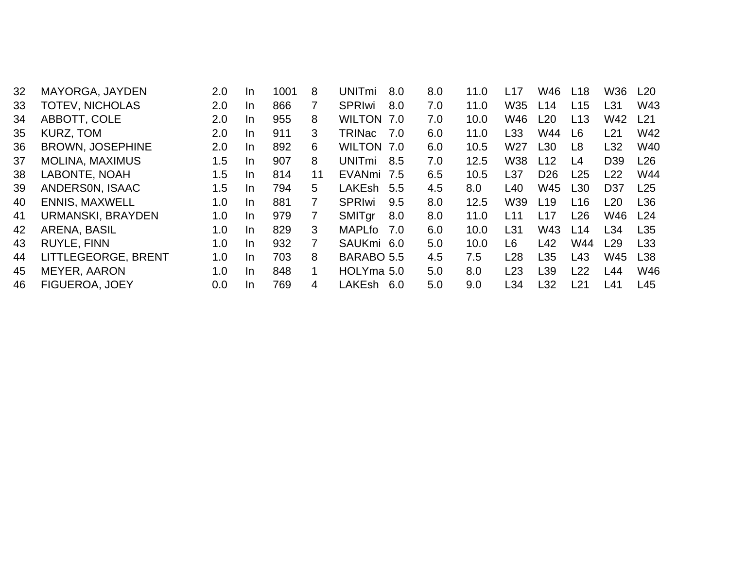|                          | 2.0             | In.       | 1001 | 8  |               |               | 11.0                                                                                                                                                          | L17                                                                                                   | W46             | L18 | <b>W36</b>      | L20             |
|--------------------------|-----------------|-----------|------|----|---------------|---------------|---------------------------------------------------------------------------------------------------------------------------------------------------------------|-------------------------------------------------------------------------------------------------------|-----------------|-----|-----------------|-----------------|
| <b>TOTEV, NICHOLAS</b>   | 2.0             | In.       | 866  |    | <b>SPRIwi</b> |               | 11.0                                                                                                                                                          | W35                                                                                                   | L14             | L15 | L31             | W43             |
| ABBOTT, COLE             | 2.0             | In.       | 955  | 8  |               |               | 10.0                                                                                                                                                          | W46                                                                                                   | L <sub>20</sub> | L13 | W42             | L <sub>21</sub> |
| KURZ, TOM                | 2.0             | In.       | 911  | 3. | TRINac        |               | 11.0                                                                                                                                                          | L33                                                                                                   | W44             | L6  | L21             | W42             |
| <b>BROWN, JOSEPHINE</b>  | 2.0             | In.       | 892  | 6  |               |               | 10.5                                                                                                                                                          | W <sub>27</sub>                                                                                       | L <sub>30</sub> | L8  | L32             | <b>W40</b>      |
| <b>MOLINA, MAXIMUS</b>   | 1.5             | In.       | 907  | 8  | <b>UNITmi</b> |               | 12.5                                                                                                                                                          | W38                                                                                                   | L12             | L4  | D <sub>39</sub> | L26             |
| LABONTE, NOAH            | 1.5             | In.       | 814  | 11 |               |               | 10.5                                                                                                                                                          | L37                                                                                                   | D <sub>26</sub> | L25 | L22             | <b>W44</b>      |
| ANDERSON, ISAAC          | 1.5             | In.       | 794  | 5. |               |               | 8.0                                                                                                                                                           | L40                                                                                                   | W45             | L30 | D <sub>37</sub> | L25             |
| <b>ENNIS, MAXWELL</b>    | 1.0             | In.       | 881  |    | <b>SPRIwi</b> |               | 12.5                                                                                                                                                          | W39                                                                                                   | L <sub>19</sub> | L16 | L <sub>20</sub> | L36             |
| <b>URMANSKI, BRAYDEN</b> | 1.0             | In.       | 979  | 7  | <b>SMITgr</b> |               | 11.0                                                                                                                                                          | L11                                                                                                   | L17             | L26 | W46             | L24             |
| ARENA, BASIL             | 1.0             | In.       | 829  | 3  | MAPLfo        |               | 10.0                                                                                                                                                          | L31                                                                                                   | W43             | L14 | L34             | L <sub>35</sub> |
| <b>RUYLE, FINN</b>       | 1.0             | In.       | 932  |    |               |               | 10.0                                                                                                                                                          | L6                                                                                                    | L42             | W44 | L29             | L <sub>33</sub> |
| LITTLEGEORGE, BRENT      | 1.0             | In.       | 703  | 8  |               |               | 7.5                                                                                                                                                           | L <sub>28</sub>                                                                                       | L35             | L43 | W45             | L <sub>38</sub> |
| MEYER, AARON             | 1.0             | In.       | 848  |    |               |               | 8.0                                                                                                                                                           | L23                                                                                                   | L39             | L22 | L44             | W46             |
| <b>FIGUEROA, JOEY</b>    | 0.0             | <b>In</b> | 769  | 4  |               |               | 9.0                                                                                                                                                           | L34                                                                                                   | L <sub>32</sub> | L21 | L41             | L45             |
|                          | MAYORGA, JAYDEN |           |      |    |               | <b>UNITmi</b> | 8.0<br>8.0<br>WILTON 7.0<br>7.0<br>WILTON 7.0<br>8.5<br>EVANmi 7.5<br>LAKEsh 5.5<br>9.5<br>8.0<br>7.0<br>SAUKmi 6.0<br>BARABO 5.5<br>HOLYma 5.0<br>LAKEsh 6.0 | 8.0<br>7.0<br>7.0<br>6.0<br>6.0<br>7.0<br>6.5<br>4.5<br>8.0<br>8.0<br>6.0<br>5.0<br>4.5<br>5.0<br>5.0 |                 |     |                 |                 |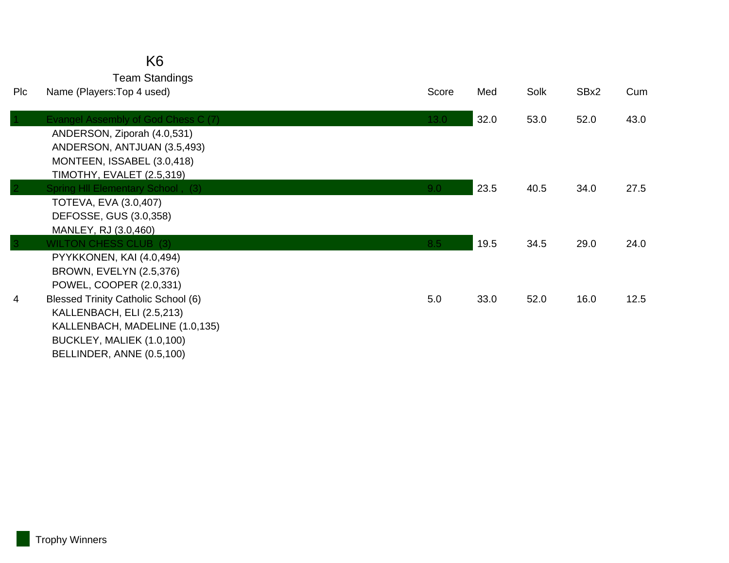|     | K6                                         |                  |      |      |      |      |
|-----|--------------------------------------------|------------------|------|------|------|------|
|     | <b>Team Standings</b>                      |                  |      |      |      |      |
| Plc | Name (Players: Top 4 used)                 | Score            | Med  | Solk | SBx2 | Cum  |
|     | Evangel Assembly of God Chess C (7)        | 13.0             | 32.0 | 53.0 | 52.0 | 43.0 |
|     | ANDERSON, Ziporah (4.0,531)                |                  |      |      |      |      |
|     | ANDERSON, ANTJUAN (3.5,493)                |                  |      |      |      |      |
|     | MONTEEN, ISSABEL (3.0,418)                 |                  |      |      |      |      |
|     | TIMOTHY, EVALET (2.5,319)                  |                  |      |      |      |      |
|     | Spring HII Elementary School, (3)          | 9.0 <sub>1</sub> | 23.5 | 40.5 | 34.0 | 27.5 |
|     | <b>TOTEVA, EVA (3.0,407)</b>               |                  |      |      |      |      |
|     | DEFOSSE, GUS (3.0,358)                     |                  |      |      |      |      |
|     | MANLEY, RJ (3.0,460)                       |                  |      |      |      |      |
|     | <b>WILTON CHESS CLUB (3)</b>               | 8.5              | 19.5 | 34.5 | 29.0 | 24.0 |
|     | PYYKKONEN, KAI (4.0,494)                   |                  |      |      |      |      |
|     | <b>BROWN, EVELYN (2.5,376)</b>             |                  |      |      |      |      |
|     | POWEL, COOPER (2.0,331)                    |                  |      |      |      |      |
| 4   | <b>Blessed Trinity Catholic School (6)</b> | 5.0              | 33.0 | 52.0 | 16.0 | 12.5 |
|     | KALLENBACH, ELI (2.5,213)                  |                  |      |      |      |      |
|     | KALLENBACH, MADELINE (1.0,135)             |                  |      |      |      |      |
|     | BUCKLEY, MALIEK (1.0,100)                  |                  |      |      |      |      |
|     | BELLINDER, ANNE (0.5,100)                  |                  |      |      |      |      |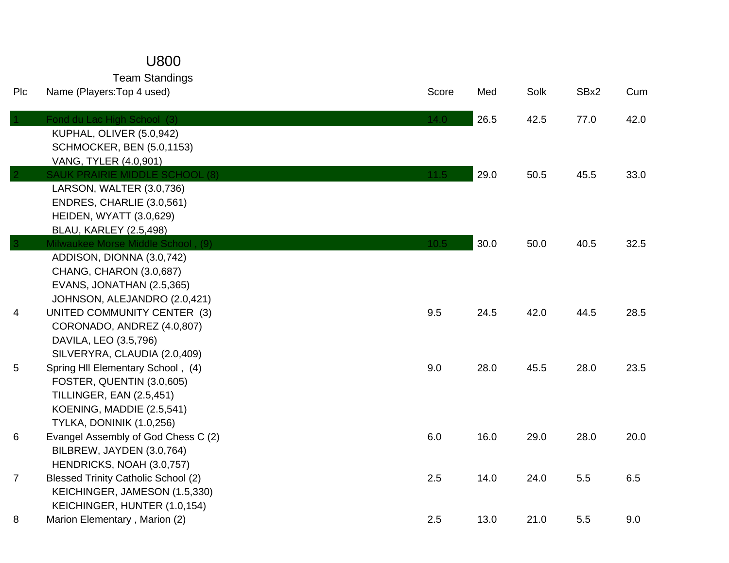## U800

Team Standings

| Plc             | Name (Players: Top 4 used)                                                                                                                                 | Score | Med  | Solk | SBx2 | Cum  |
|-----------------|------------------------------------------------------------------------------------------------------------------------------------------------------------|-------|------|------|------|------|
|                 | Fond du Lac High School (3)<br>KUPHAL, OLIVER (5.0,942)<br><b>SCHMOCKER, BEN (5.0,1153)</b><br>VANG, TYLER (4.0,901)                                       | 14.0  | 26.5 | 42.5 | 77.0 | 42.0 |
|                 | <b>SAUK PRAIRIE MIDDLE SCHOOL (8)</b><br>LARSON, WALTER (3.0,736)<br>ENDRES, CHARLIE (3.0,561)<br>HEIDEN, WYATT (3.0,629)<br><b>BLAU, KARLEY (2.5,498)</b> | 11.5  | 29.0 | 50.5 | 45.5 | 33.0 |
|                 | Milwaukee Morse Middle School, (9)<br>ADDISON, DIONNA (3.0,742)<br>CHANG, CHARON (3.0,687)<br>EVANS, JONATHAN (2.5,365)<br>JOHNSON, ALEJANDRO (2.0,421)    | 10.5  | 30.0 | 50.0 | 40.5 | 32.5 |
| 4               | UNITED COMMUNITY CENTER (3)<br>CORONADO, ANDREZ (4.0,807)<br>DAVILA, LEO (3.5,796)<br>SILVERYRA, CLAUDIA (2.0,409)                                         | 9.5   | 24.5 | 42.0 | 44.5 | 28.5 |
| $5\phantom{.0}$ | Spring HII Elementary School, (4)<br>FOSTER, QUENTIN (3.0,605)<br><b>TILLINGER, EAN (2.5,451)</b><br>KOENING, MADDIE (2.5,541)<br>TYLKA, DONINIK (1.0,256) | 9.0   | 28.0 | 45.5 | 28.0 | 23.5 |
| 6               | Evangel Assembly of God Chess C (2)<br>BILBREW, JAYDEN (3.0,764)<br>HENDRICKS, NOAH (3.0,757)                                                              | 6.0   | 16.0 | 29.0 | 28.0 | 20.0 |
| $\overline{7}$  | <b>Blessed Trinity Catholic School (2)</b><br>KEICHINGER, JAMESON (1.5,330)<br>KEICHINGER, HUNTER (1.0,154)                                                | 2.5   | 14.0 | 24.0 | 5.5  | 6.5  |
| 8               | Marion Elementary, Marion (2)                                                                                                                              | 2.5   | 13.0 | 21.0 | 5.5  | 9.0  |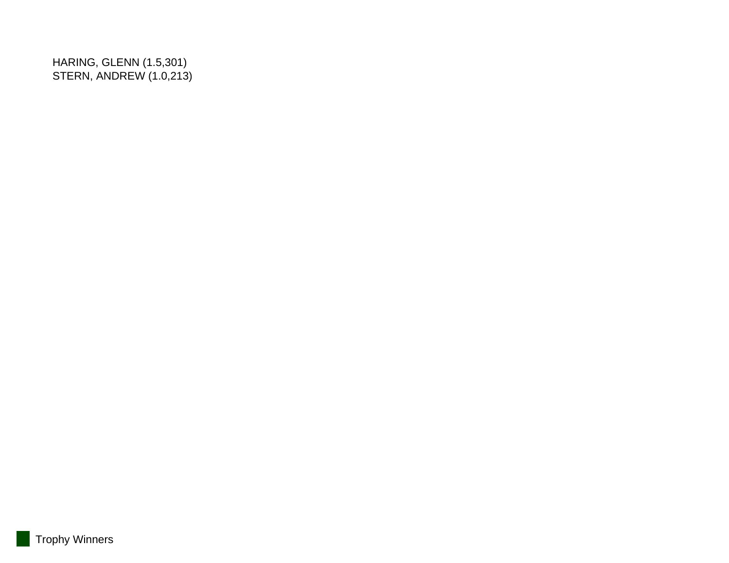HARING, GLENN (1.5,301) STERN, ANDREW (1.0,213)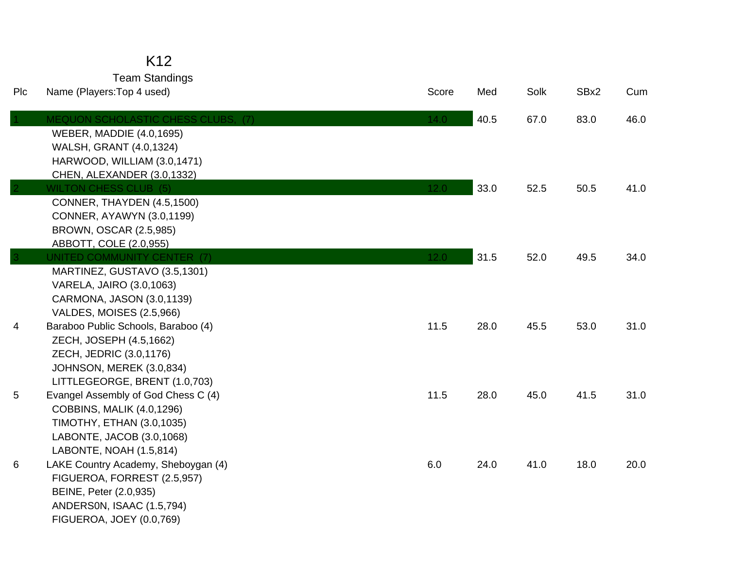Team Standings<br>s:Top 4 used)

| Plc | Name (Players: Top 4 used)                                                                                                                                           | Score | Med  | Solk | SBx2 | Cum  |
|-----|----------------------------------------------------------------------------------------------------------------------------------------------------------------------|-------|------|------|------|------|
|     | <b>MEQUON SCHOLASTIC CHESS CLUBS. (7)</b><br><b>WEBER, MADDIE (4.0,1695)</b><br>WALSH, GRANT (4.0,1324)<br>HARWOOD, WILLIAM (3.0,1471)<br>CHEN, ALEXANDER (3.0,1332) | 14.0  | 40.5 | 67.0 | 83.0 | 46.0 |
|     | <b>WILTON CHESS CLUB (5)</b><br>CONNER, THAYDEN (4.5,1500)<br><b>CONNER, AYAWYN (3.0,1199)</b><br>BROWN, OSCAR (2.5,985)<br>ABBOTT, COLE (2.0,955)                   | 12.0  | 33.0 | 52.5 | 50.5 | 41.0 |
|     | UNITED COMMUNITY CENTER (7)<br>MARTINEZ, GUSTAVO (3.5,1301)<br>VARELA, JAIRO (3.0,1063)<br>CARMONA, JASON (3.0,1139)<br>VALDES, MOISES (2.5,966)                     | 12.0  | 31.5 | 52.0 | 49.5 | 34.0 |
| 4   | Baraboo Public Schools, Baraboo (4)<br>ZECH, JOSEPH (4.5,1662)<br>ZECH, JEDRIC (3.0,1176)<br>JOHNSON, MEREK (3.0,834)<br>LITTLEGEORGE, BRENT (1.0,703)               | 11.5  | 28.0 | 45.5 | 53.0 | 31.0 |
| 5   | Evangel Assembly of God Chess C (4)<br><b>COBBINS, MALIK (4.0,1296)</b><br><b>TIMOTHY, ETHAN (3.0,1035)</b><br>LABONTE, JACOB (3.0,1068)<br>LABONTE, NOAH (1.5,814)  | 11.5  | 28.0 | 45.0 | 41.5 | 31.0 |
| 6   | LAKE Country Academy, Sheboygan (4)<br>FIGUEROA, FORREST (2.5,957)<br>BEINE, Peter (2.0,935)<br>ANDERSON, ISAAC (1.5,794)<br>FIGUEROA, JOEY (0.0,769)                | 6.0   | 24.0 | 41.0 | 18.0 | 20.0 |